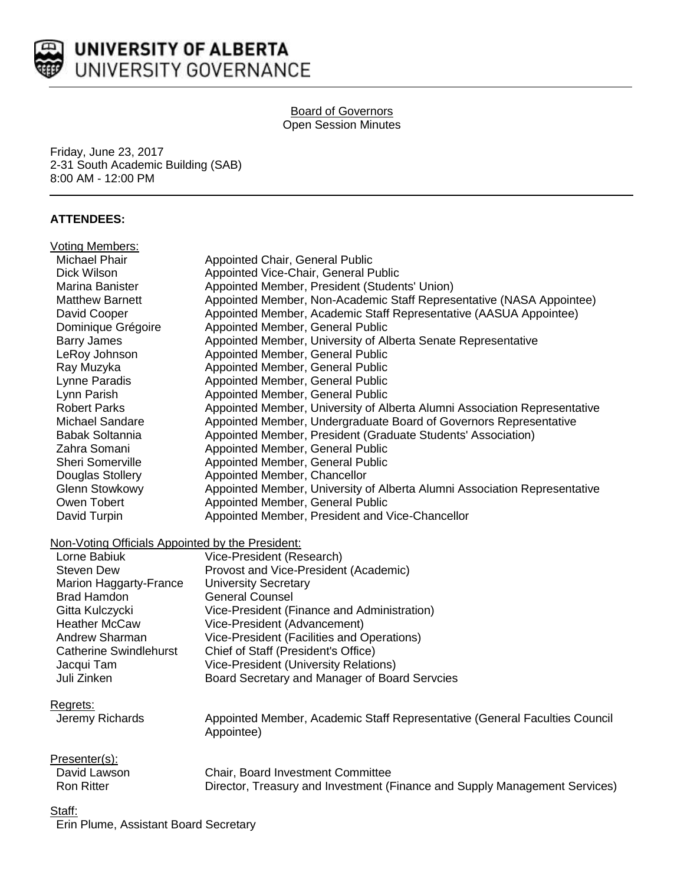

# UNIVERSITY OF ALBERTA UNIVERSITY GOVERNANCE

#### Board of Governors Open Session Minutes

Friday, June 23, 2017 2-31 South Academic Building (SAB) 8:00 AM - 12:00 PM

# **ATTENDEES:**

| <b>Voting Members:</b>                           |                                                                            |
|--------------------------------------------------|----------------------------------------------------------------------------|
| <b>Michael Phair</b>                             | Appointed Chair, General Public                                            |
| Dick Wilson                                      | Appointed Vice-Chair, General Public                                       |
| Marina Banister                                  | Appointed Member, President (Students' Union)                              |
| <b>Matthew Barnett</b>                           | Appointed Member, Non-Academic Staff Representative (NASA Appointee)       |
| David Cooper                                     | Appointed Member, Academic Staff Representative (AASUA Appointee)          |
| Dominique Grégoire                               | Appointed Member, General Public                                           |
| <b>Barry James</b>                               | Appointed Member, University of Alberta Senate Representative              |
| LeRoy Johnson                                    | Appointed Member, General Public                                           |
| Ray Muzyka                                       | Appointed Member, General Public                                           |
| Lynne Paradis                                    | Appointed Member, General Public                                           |
| Lynn Parish                                      | Appointed Member, General Public                                           |
| <b>Robert Parks</b>                              | Appointed Member, University of Alberta Alumni Association Representative  |
| <b>Michael Sandare</b>                           | Appointed Member, Undergraduate Board of Governors Representative          |
| Babak Soltannia                                  | Appointed Member, President (Graduate Students' Association)               |
| Zahra Somani                                     | Appointed Member, General Public                                           |
| Sheri Somerville                                 | Appointed Member, General Public                                           |
| Douglas Stollery                                 | Appointed Member, Chancellor                                               |
| <b>Glenn Stowkowy</b>                            | Appointed Member, University of Alberta Alumni Association Representative  |
| Owen Tobert                                      | Appointed Member, General Public                                           |
| David Turpin                                     | Appointed Member, President and Vice-Chancellor                            |
| Non-Voting Officials Appointed by the President: |                                                                            |
| Lorne Babiuk                                     | Vice-President (Research)                                                  |
| <b>Steven Dew</b>                                | Provost and Vice-President (Academic)                                      |
| Marion Haggarty-France                           | <b>University Secretary</b>                                                |
| <b>Brad Hamdon</b>                               | <b>General Counsel</b>                                                     |
| Gitta Kulczycki                                  | Vice-President (Finance and Administration)                                |
| <b>Heather McCaw</b>                             | Vice-President (Advancement)                                               |
| <b>Andrew Sharman</b>                            | Vice-President (Facilities and Operations)                                 |
| <b>Catherine Swindlehurst</b>                    | Chief of Staff (President's Office)                                        |
| Jacqui Tam                                       | Vice-President (University Relations)                                      |
| Juli Zinken                                      | Board Secretary and Manager of Board Servcies                              |
|                                                  |                                                                            |
| Regrets:                                         |                                                                            |
| Jeremy Richards                                  | Appointed Member, Academic Staff Representative (General Faculties Council |
|                                                  | Appointee)                                                                 |
| Presenter(s):                                    |                                                                            |
| David Lawson                                     | Chair, Board Investment Committee                                          |
| <b>Ron Ritter</b>                                | Director, Treasury and Investment (Finance and Supply Management Services) |
|                                                  |                                                                            |
| <u>Staff:</u>                                    |                                                                            |
| Erin Plume, Assistant Board Secretary            |                                                                            |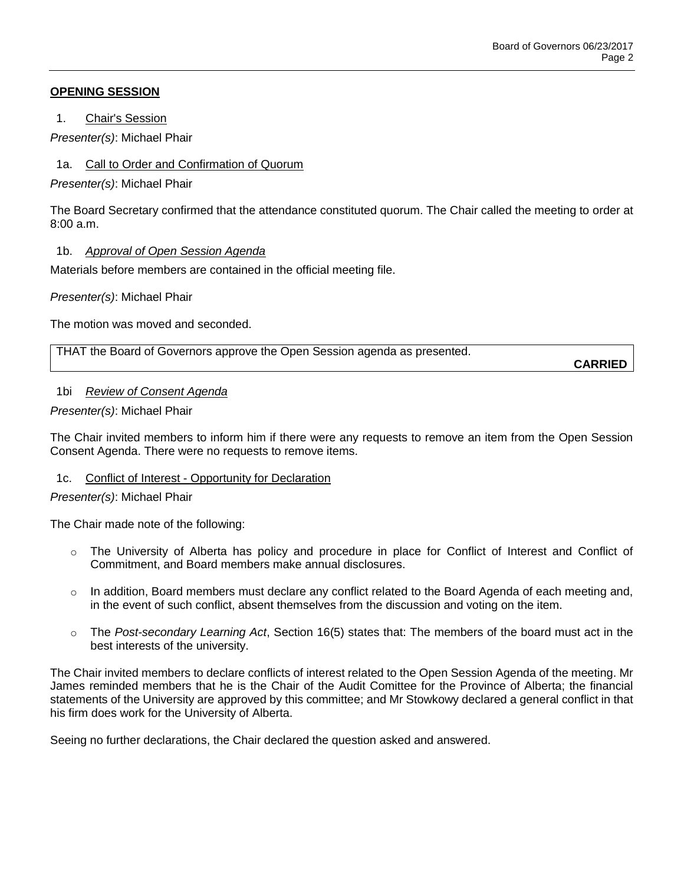## **OPENING SESSION**

1. Chair's Session

*Presenter(s)*: Michael Phair

1a. Call to Order and Confirmation of Quorum

*Presenter(s)*: Michael Phair

The Board Secretary confirmed that the attendance constituted quorum. The Chair called the meeting to order at  $8:00a \, m$ 

## 1b. *Approval of Open Session Agenda*

Materials before members are contained in the official meeting file.

*Presenter(s)*: Michael Phair

The motion was moved and seconded.

THAT the Board of Governors approve the Open Session agenda as presented.

**CARRIED**

## 1bi *Review of Consent Agenda*

*Presenter(s)*: Michael Phair

The Chair invited members to inform him if there were any requests to remove an item from the Open Session Consent Agenda. There were no requests to remove items.

## 1c. Conflict of Interest - Opportunity for Declaration

## *Presenter(s)*: Michael Phair

The Chair made note of the following:

- o The University of Alberta has policy and procedure in place for Conflict of Interest and Conflict of Commitment, and Board members make annual disclosures.
- $\circ$  In addition, Board members must declare any conflict related to the Board Agenda of each meeting and, in the event of such conflict, absent themselves from the discussion and voting on the item.
- o The *Post-secondary Learning Act*, Section 16(5) states that: The members of the board must act in the best interests of the university.

The Chair invited members to declare conflicts of interest related to the Open Session Agenda of the meeting. Mr James reminded members that he is the Chair of the Audit Comittee for the Province of Alberta; the financial statements of the University are approved by this committee; and Mr Stowkowy declared a general conflict in that his firm does work for the University of Alberta.

Seeing no further declarations, the Chair declared the question asked and answered.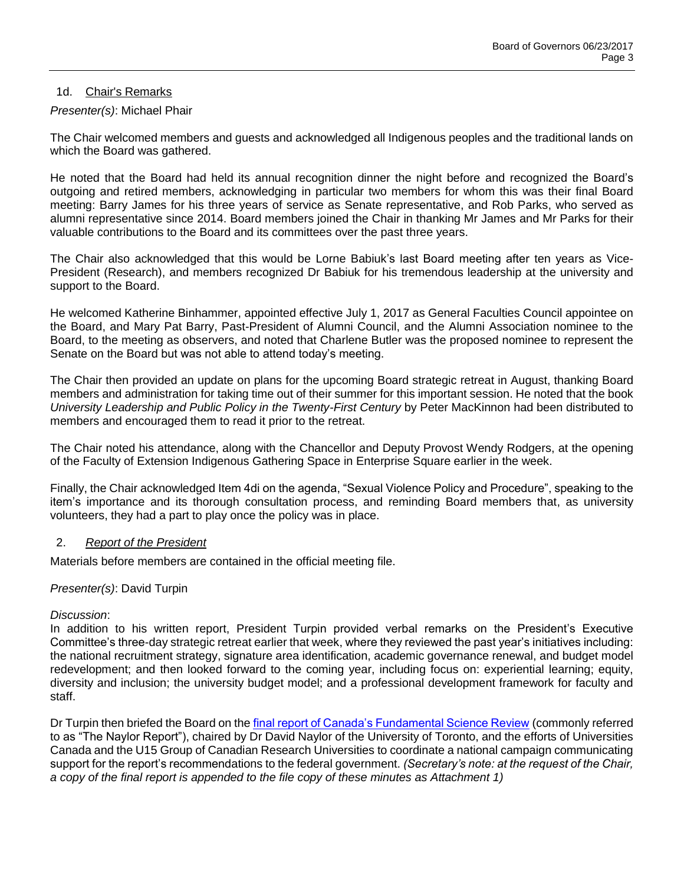## 1d. Chair's Remarks

## *Presenter(s)*: Michael Phair

The Chair welcomed members and guests and acknowledged all Indigenous peoples and the traditional lands on which the Board was gathered.

He noted that the Board had held its annual recognition dinner the night before and recognized the Board's outgoing and retired members, acknowledging in particular two members for whom this was their final Board meeting: Barry James for his three years of service as Senate representative, and Rob Parks, who served as alumni representative since 2014. Board members joined the Chair in thanking Mr James and Mr Parks for their valuable contributions to the Board and its committees over the past three years.

The Chair also acknowledged that this would be Lorne Babiuk's last Board meeting after ten years as Vice-President (Research), and members recognized Dr Babiuk for his tremendous leadership at the university and support to the Board.

He welcomed Katherine Binhammer, appointed effective July 1, 2017 as General Faculties Council appointee on the Board, and Mary Pat Barry, Past-President of Alumni Council, and the Alumni Association nominee to the Board, to the meeting as observers, and noted that Charlene Butler was the proposed nominee to represent the Senate on the Board but was not able to attend today's meeting.

The Chair then provided an update on plans for the upcoming Board strategic retreat in August, thanking Board members and administration for taking time out of their summer for this important session. He noted that the book *University Leadership and Public Policy in the Twenty-First Century* by Peter MacKinnon had been distributed to members and encouraged them to read it prior to the retreat.

The Chair noted his attendance, along with the Chancellor and Deputy Provost Wendy Rodgers, at the opening of the Faculty of Extension Indigenous Gathering Space in Enterprise Square earlier in the week.

Finally, the Chair acknowledged Item 4di on the agenda, "Sexual Violence Policy and Procedure", speaking to the item's importance and its thorough consultation process, and reminding Board members that, as university volunteers, they had a part to play once the policy was in place.

## 2. *Report of the President*

Materials before members are contained in the official meeting file.

## *Presenter(s)*: David Turpin

## *Discussion*:

In addition to his written report, President Turpin provided verbal remarks on the President's Executive Committee's three-day strategic retreat earlier that week, where they reviewed the past year's initiatives including: the national recruitment strategy, signature area identification, academic governance renewal, and budget model redevelopment; and then looked forward to the coming year, including focus on: experiential learning; equity, diversity and inclusion; the university budget model; and a professional development framework for faculty and staff.

Dr Turpin then briefed the Board on th[e final report of Canada's Fundamental Science Review](http://www.sciencereview.ca/eic/site/059.nsf/vwapj/ScienceReview_April2017-rv.pdf/$file/ScienceReview_April2017-rv.pdf) (commonly referred to as "The Naylor Report"), chaired by Dr David Naylor of the University of Toronto, and the efforts of Universities Canada and the U15 Group of Canadian Research Universities to coordinate a national campaign communicating support for the report's recommendations to the federal government. *(Secretary's note: at the request of the Chair, a copy of the final report is appended to the file copy of these minutes as Attachment 1)*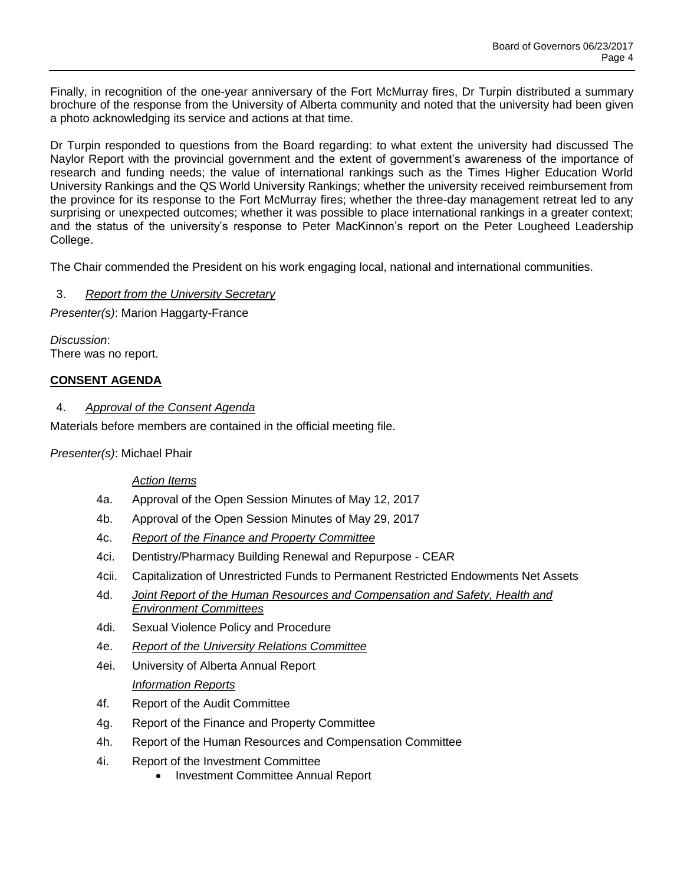Finally, in recognition of the one-year anniversary of the Fort McMurray fires, Dr Turpin distributed a summary brochure of the response from the University of Alberta community and noted that the university had been given a photo acknowledging its service and actions at that time.

Dr Turpin responded to questions from the Board regarding: to what extent the university had discussed The Naylor Report with the provincial government and the extent of government's awareness of the importance of research and funding needs; the value of international rankings such as the Times Higher Education World University Rankings and the QS World University Rankings; whether the university received reimbursement from the province for its response to the Fort McMurray fires; whether the three-day management retreat led to any surprising or unexpected outcomes; whether it was possible to place international rankings in a greater context; and the status of the university's response to Peter MacKinnon's report on the Peter Lougheed Leadership College.

The Chair commended the President on his work engaging local, national and international communities.

## 3. *Report from the University Secretary*

*Presenter(s)*: Marion Haggarty-France

*Discussion*: There was no report.

## **CONSENT AGENDA**

## 4. *Approval of the Consent Agenda*

Materials before members are contained in the official meeting file.

*Presenter(s)*: Michael Phair

## *Action Items*

- 4a. Approval of the Open Session Minutes of May 12, 2017
- 4b. Approval of the Open Session Minutes of May 29, 2017
- 4c. *Report of the Finance and Property Committee*
- 4ci. Dentistry/Pharmacy Building Renewal and Repurpose CEAR
- 4cii. Capitalization of Unrestricted Funds to Permanent Restricted Endowments Net Assets
- 4d. *Joint Report of the Human Resources and Compensation and Safety, Health and Environment Committees*
- 4di. Sexual Violence Policy and Procedure
- 4e. *Report of the University Relations Committee*
- 4ei. University of Alberta Annual Report *Information Reports*
- 4f. Report of the Audit Committee
- 4g. Report of the Finance and Property Committee
- 4h. Report of the Human Resources and Compensation Committee
- 4i. Report of the Investment Committee
	- Investment Committee Annual Report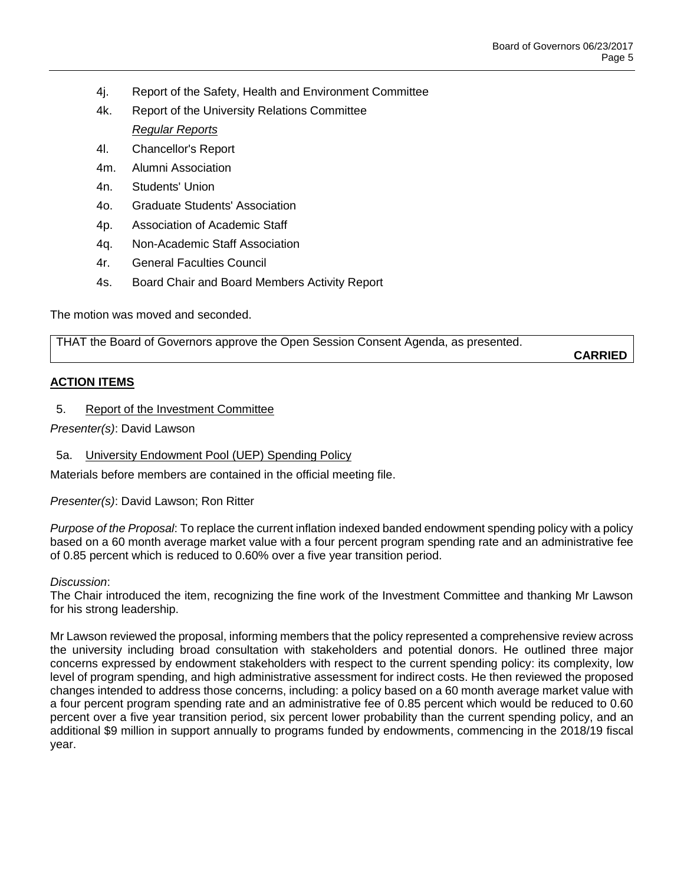- 4j. Report of the Safety, Health and Environment Committee
- 4k. Report of the University Relations Committee

## *Regular Reports*

- 4l. Chancellor's Report
- 4m. Alumni Association
- 4n. Students' Union
- 4o. Graduate Students' Association
- 4p. Association of Academic Staff
- 4q. Non-Academic Staff Association
- 4r. General Faculties Council
- 4s. Board Chair and Board Members Activity Report

The motion was moved and seconded.

THAT the Board of Governors approve the Open Session Consent Agenda, as presented.

**CARRIED**

## **ACTION ITEMS**

5. Report of the Investment Committee

*Presenter(s)*: David Lawson

5a. University Endowment Pool (UEP) Spending Policy

Materials before members are contained in the official meeting file.

*Presenter(s)*: David Lawson; Ron Ritter

*Purpose of the Proposal*: To replace the current inflation indexed banded endowment spending policy with a policy based on a 60 month average market value with a four percent program spending rate and an administrative fee of 0.85 percent which is reduced to 0.60% over a five year transition period.

#### *Discussion*:

The Chair introduced the item, recognizing the fine work of the Investment Committee and thanking Mr Lawson for his strong leadership.

Mr Lawson reviewed the proposal, informing members that the policy represented a comprehensive review across the university including broad consultation with stakeholders and potential donors. He outlined three major concerns expressed by endowment stakeholders with respect to the current spending policy: its complexity, low level of program spending, and high administrative assessment for indirect costs. He then reviewed the proposed changes intended to address those concerns, including: a policy based on a 60 month average market value with a four percent program spending rate and an administrative fee of 0.85 percent which would be reduced to 0.60 percent over a five year transition period, six percent lower probability than the current spending policy, and an additional \$9 million in support annually to programs funded by endowments, commencing in the 2018/19 fiscal year.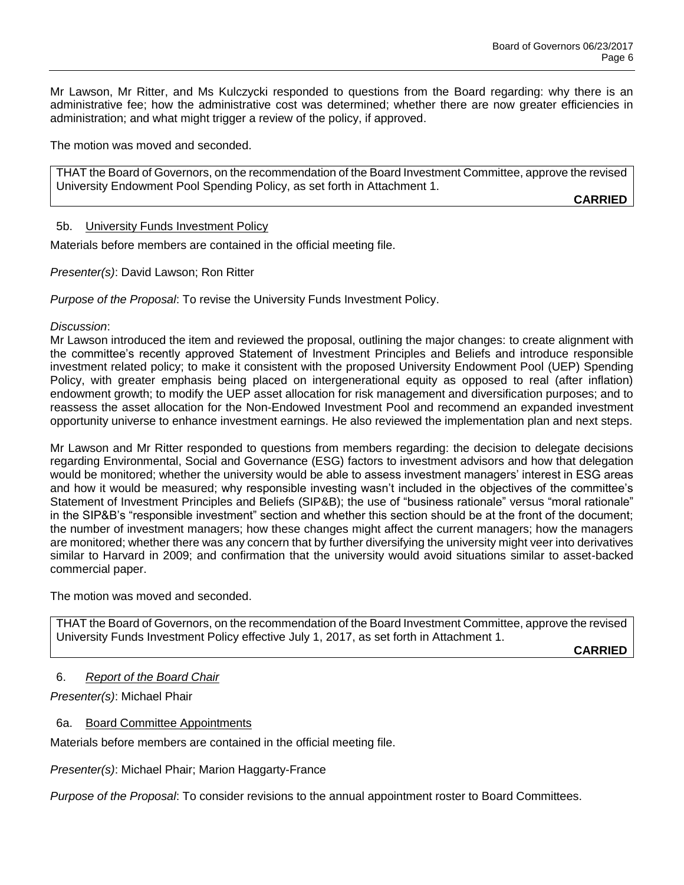Mr Lawson, Mr Ritter, and Ms Kulczycki responded to questions from the Board regarding: why there is an administrative fee; how the administrative cost was determined; whether there are now greater efficiencies in administration; and what might trigger a review of the policy, if approved.

The motion was moved and seconded.

THAT the Board of Governors, on the recommendation of the Board Investment Committee, approve the revised University Endowment Pool Spending Policy, as set forth in Attachment 1.

**CARRIED**

## 5b. University Funds Investment Policy

Materials before members are contained in the official meeting file.

*Presenter(s)*: David Lawson; Ron Ritter

*Purpose of the Proposal*: To revise the University Funds Investment Policy.

## *Discussion*:

Mr Lawson introduced the item and reviewed the proposal, outlining the major changes: to create alignment with the committee's recently approved Statement of Investment Principles and Beliefs and introduce responsible investment related policy; to make it consistent with the proposed University Endowment Pool (UEP) Spending Policy, with greater emphasis being placed on intergenerational equity as opposed to real (after inflation) endowment growth; to modify the UEP asset allocation for risk management and diversification purposes; and to reassess the asset allocation for the Non-Endowed Investment Pool and recommend an expanded investment opportunity universe to enhance investment earnings. He also reviewed the implementation plan and next steps.

Mr Lawson and Mr Ritter responded to questions from members regarding: the decision to delegate decisions regarding Environmental, Social and Governance (ESG) factors to investment advisors and how that delegation would be monitored; whether the university would be able to assess investment managers' interest in ESG areas and how it would be measured; why responsible investing wasn't included in the objectives of the committee's Statement of Investment Principles and Beliefs (SIP&B); the use of "business rationale" versus "moral rationale" in the SIP&B's "responsible investment" section and whether this section should be at the front of the document; the number of investment managers; how these changes might affect the current managers; how the managers are monitored; whether there was any concern that by further diversifying the university might veer into derivatives similar to Harvard in 2009; and confirmation that the university would avoid situations similar to asset-backed commercial paper.

The motion was moved and seconded.

THAT the Board of Governors, on the recommendation of the Board Investment Committee, approve the revised University Funds Investment Policy effective July 1, 2017, as set forth in Attachment 1.

**CARRIED**

# 6. *Report of the Board Chair*

*Presenter(s)*: Michael Phair

## 6a. Board Committee Appointments

Materials before members are contained in the official meeting file.

*Presenter(s)*: Michael Phair; Marion Haggarty-France

*Purpose of the Proposal*: To consider revisions to the annual appointment roster to Board Committees.